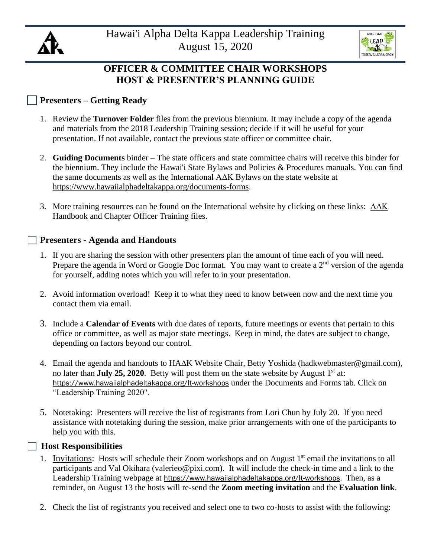



# **OFFICER & COMMITTEE CHAIR WORKSHOPS HOST & PRESENTER'S PLANNING GUIDE**

## **Presenters – Getting Ready**

- 1. Review the **Turnover Folder** files from the previous biennium. It may include a copy of the agenda and materials from the 2018 Leadership Training session; decide if it will be useful for your presentation. If not available, contact the previous state officer or committee chair.
- 2. **Guiding Documents** binder The state officers and state committee chairs will receive this binder for the biennium. They include the Hawai'i State Bylaws and Policies & Procedures manuals. You can find the same documents as well as the International AΔK Bylaws on the state website at [https://www.hawaiialphadeltakappa.org/documents-forms.](https://www.hawaiialphadeltakappa.org/documents-forms)
- 3. More training resources can be found on the International website by clicking on these links: [AΔK](https://drive.google.com/file/d/1ovB9WxdqpQqVWx15TKgRhCNYm0Sd3Plg/view)  [Handbook](https://drive.google.com/file/d/1ovB9WxdqpQqVWx15TKgRhCNYm0Sd3Plg/view) and [Chapter Officer Training files.](https://www.alphadeltakappa.org/ADK/Membership/New_Members/ADK/Member_Center/New_Members.aspx?hkey=401cf040-d5d4-496b-8426-efbe1127de96)

#### **Presenters - Agenda and Handouts**

- 1. If you are sharing the session with other presenters plan the amount of time each of you will need. Prepare the agenda in Word or Google Doc format. You may want to create a 2<sup>nd</sup> version of the agenda for yourself, adding notes which you will refer to in your presentation.
- 2. Avoid information overload! Keep it to what they need to know between now and the next time you contact them via email.
- 3. Include a **Calendar of Events** with due dates of reports, future meetings or events that pertain to this office or committee, as well as major state meetings. Keep in mind, the dates are subject to change, depending on factors beyond our control.
- 4. Email the agenda and handouts to HAK Website Chair, Betty Yoshida (hadkwebmaster@gmail.com), no later than **July 25, 2020**. Betty will post them on the state website by August 1<sup>st</sup> at: <https://www.hawaiialphadeltakappa.org/lt-workshops> under the Documents and Forms tab. Click on "Leadership Training 2020".
- 5. Notetaking: Presenters will receive the list of registrants from Lori Chun by July 20. If you need assistance with notetaking during the session, make prior arrangements with one of the participants to help you with this.

### **Host Responsibilities**

- 1. Invitations: Hosts will schedule their Zoom workshops and on August  $1<sup>st</sup>$  email the invitations to all participants and Val Okihara (valerieo@pixi.com). It will include the check-in time and a link to the Leadership Training webpage at [https://www.hawaiialphadeltakappa.org/lt-workshops.](https://www.hawaiialphadeltakappa.org/lt-workshops) Then, as a reminder, on August 13 the hosts will re-send the **Zoom meeting invitation** and the **Evaluation link**.
- 2. Check the list of registrants you received and select one to two co-hosts to assist with the following: